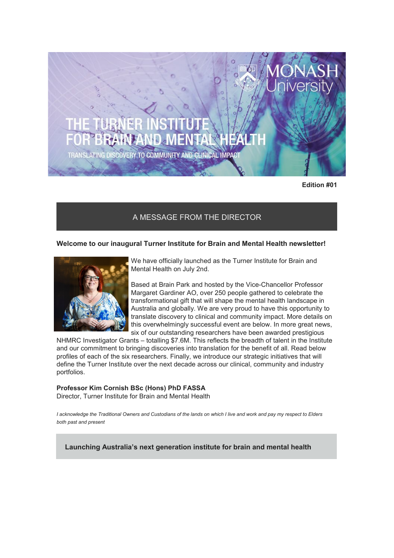TRANSLATING DISCOVERY TO COMMUNITY AND CLINICAL IMPACT

**Edition #01**

# A MESSAGE FROM THE DIRECTOR

## **Welcome to our inaugural Turner Institute for Brain and Mental Health newsletter!**



We have officially launched as the Turner Institute for Brain and Mental Health on July 2nd.

Based at Brain Park and hosted by the Vice-Chancellor Professor Margaret Gardiner AO, over 250 people gathered to celebrate the transformational gift that will shape the mental health landscape in Australia and globally. We are very proud to have this opportunity to translate discovery to clinical and community impact. More details on this overwhelmingly successful event are below. In more great news, six of our outstanding researchers have been awarded prestigious

NHMRC Investigator Grants – totalling \$7.6M. This reflects the breadth of talent in the Institute and our commitment to bringing discoveries into translation for the benefit of all. Read below profiles of each of the six researchers. Finally, we introduce our strategic initiatives that will define the Turner Institute over the next decade across our clinical, community and industry portfolios.

#### **Professor Kim Cornish BSc (Hons) PhD FASSA**

Director, Turner Institute for Brain and Mental Health

*I acknowledge the Traditional Owners and Custodians of the lands on which I live and work and pay my respect to Elders both past and present*

**Launching Australia's next generation institute for brain and mental health**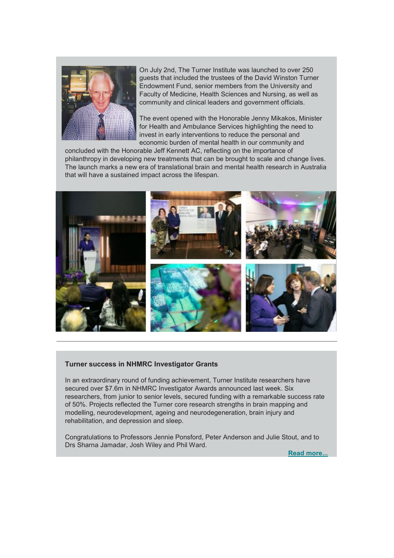

On July 2nd, The Turner Institute was launched to over 250 guests that included the trustees of the David Winston Turner Endowment Fund, senior members from the University and Faculty of Medicine, Health Sciences and Nursing, as well as community and clinical leaders and government officials.

The event opened with the Honorable Jenny Mikakos, Minister for Health and Ambulance Services highlighting the need to invest in early interventions to reduce the personal and economic burden of mental health in our community and

concluded with the Honorable Jeff Kennett AC, reflecting on the importance of philanthropy in developing new treatments that can be brought to scale and change lives. The launch marks a new era of translational brain and mental health research in Australia that will have a sustained impact across the lifespan.



#### **Turner success in NHMRC Investigator Grants**

In an extraordinary round of funding achievement, Turner Institute researchers have secured over \$7.6m in NHMRC Investigator Awards announced last week. Six researchers, from junior to senior levels, secured funding with a remarkable success rate of 50%. Projects reflected the Turner core research strengths in brain mapping and modelling, neurodevelopment, ageing and neurodegeneration, brain injury and rehabilitation, and depression and sleep.

Congratulations to Professors Jennie Ponsford, Peter Anderson and Julie Stout, and to Drs Sharna Jamadar, Josh Wiley and Phil Ward.

**[Read more...](https://www.monash.edu/turner-institute/news-and-events/latest-news/2019-articles/Turner-success-in-NHMRC-Investigator-Grants)**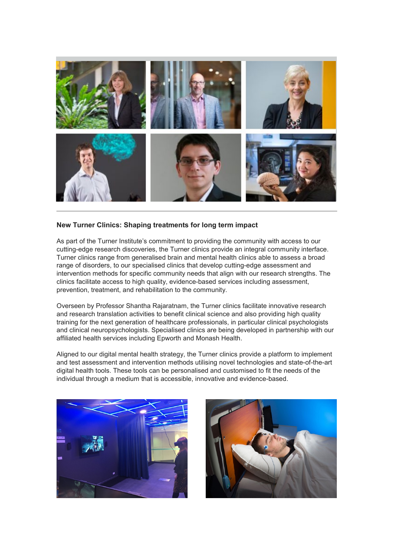

## **New Turner Clinics: Shaping treatments for long term impact**

As part of the Turner Institute's commitment to providing the community with access to our cutting-edge research discoveries, the Turner clinics provide an integral community interface. Turner clinics range from generalised brain and mental health clinics able to assess a broad range of disorders, to our specialised clinics that develop cutting-edge assessment and intervention methods for specific community needs that align with our research strengths. The clinics facilitate access to high quality, evidence-based services including assessment, prevention, treatment, and rehabilitation to the community.

Overseen by Professor Shantha Rajaratnam, the Turner clinics facilitate innovative research and research translation activities to benefit clinical science and also providing high quality training for the next generation of healthcare professionals, in particular clinical psychologists and clinical neuropsychologists. Specialised clinics are being developed in partnership with our affiliated health services including Epworth and Monash Health.

Aligned to our digital mental health strategy, the Turner clinics provide a platform to implement and test assessment and intervention methods utilising novel technologies and state-of-the-art digital health tools. These tools can be personalised and customised to fit the needs of the individual through a medium that is accessible, innovative and evidence-based.



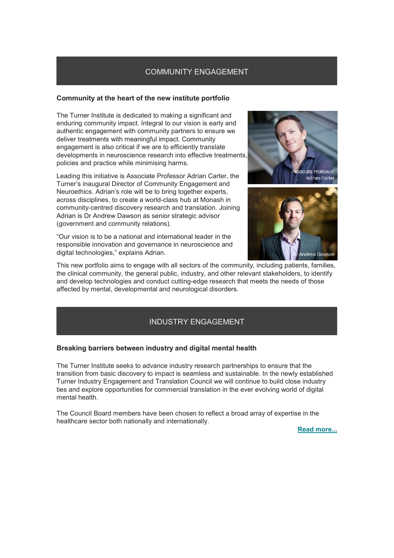## COMMUNITY ENGAGEMENT

## **Community at the heart of the new institute portfolio**

The Turner Institute is dedicated to making a significant and enduring community impact. Integral to our vision is early and authentic engagement with community partners to ensure we deliver treatments with meaningful impact. Community engagement is also critical if we are to efficiently translate developments in neuroscience research into effective treatments, policies and practice while minimising harms.

Leading this initiative is Associate Professor Adrian Carter, the Turner's inaugural Director of Community Engagement and Neuroethics. Adrian's role will be to bring together experts, across disciplines, to create a world-class hub at Monash in community-centred discovery research and translation. Joining Adrian is Dr Andrew Dawson as senior strategic advisor (government and community relations).

"Our vision is to be a national and international leader in the responsible innovation and governance in neuroscience and digital technologies," explains Adrian.





This new portfolio aims to engage with all sectors of the community, including patients, families, the clinical community, the general public, industry, and other relevant stakeholders, to identify and develop technologies and conduct cutting-edge research that meets the needs of those affected by mental, developmental and neurological disorders.

# INDUSTRY ENGAGEMENT

## **Breaking barriers between industry and digital mental health**

The Turner Institute seeks to advance industry research partnerships to ensure that the transition from basic discovery to impact is seamless and sustainable. In the newly established Turner Industry Engagement and Translation Council we will continue to build close industry ties and explore opportunities for commercial translation in the ever evolving world of digital mental health.

The Council Board members have been chosen to reflect a broad array of expertise in the healthcare sector both nationally and internationally.

**[Read more...](https://www.monash.edu/turner-institute/news-and-events/latest-news/2019-articles/breaking-barriers-between-industry-and-digital-mental-health)**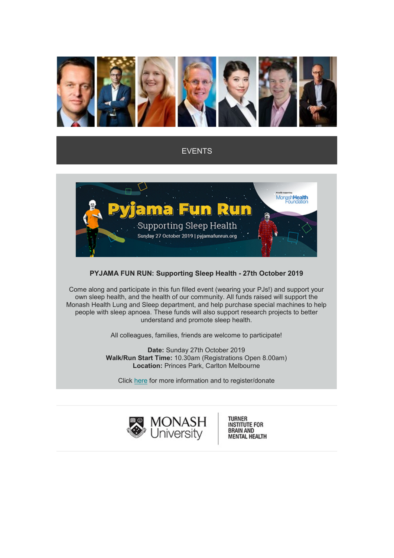

## EVENTS



## **PYJAMA FUN RUN: Supporting Sleep Health - 27th October 2019**

Come along and participate in this fun filled event (wearing your PJs!) and support your own sleep health, and the health of our community. All funds raised will support the Monash Health Lung and Sleep department, and help purchase special machines to help people with sleep apnoea. These funds will also support research projects to better understand and promote sleep health.

All colleagues, families, friends are welcome to participate!

**Date:** Sunday 27th October 2019 **Walk/Run Start Time:** 10.30am (Registrations Open 8.00am) **Location:** Princes Park, Carlton Melbourne

Click [here](http://www.monashhealthfoundation.com.au/event/pyjamafunrun) for more information and to register/donate



TURNER<br>INSTITUTE FOR<br>BRAIN AND **MENTAL HEALTH**